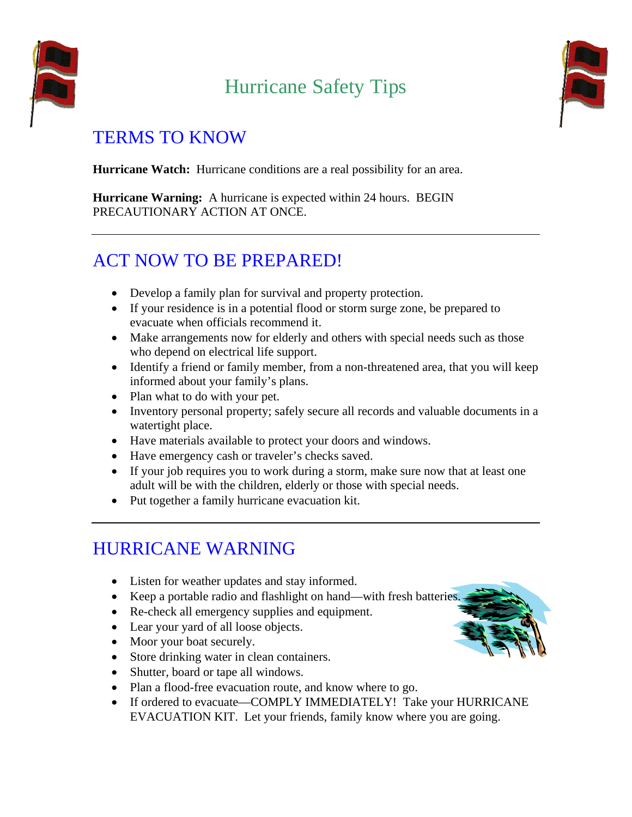

# Hurricane Safety Tips



#### TERMS TO KNOW

**Hurricane Watch:** Hurricane conditions are a real possibility for an area.

**Hurricane Warning:** A hurricane is expected within 24 hours. BEGIN PRECAUTIONARY ACTION AT ONCE.

# ACT NOW TO BE PREPARED!

- Develop a family plan for survival and property protection.
- If your residence is in a potential flood or storm surge zone, be prepared to evacuate when officials recommend it.
- Make arrangements now for elderly and others with special needs such as those who depend on electrical life support.
- Identify a friend or family member, from a non-threatened area, that you will keep informed about your family's plans.
- Plan what to do with your pet.
- Inventory personal property; safely secure all records and valuable documents in a watertight place.
- Have materials available to protect your doors and windows.
- Have emergency cash or traveler's checks saved.
- If your job requires you to work during a storm, make sure now that at least one adult will be with the children, elderly or those with special needs.
- Put together a family hurricane evacuation kit.

# HURRICANE WARNING

- Listen for weather updates and stay informed.
- Keep a portable radio and flashlight on hand—with fresh batteries.
- Re-check all emergency supplies and equipment.
- Lear your yard of all loose objects.
- Moor your boat securely.
- Store drinking water in clean containers.
- Shutter, board or tape all windows.
- Plan a flood-free evacuation route, and know where to go.
- If ordered to evacuate—COMPLY IMMEDIATELY! Take your HURRICANE EVACUATION KIT. Let your friends, family know where you are going.